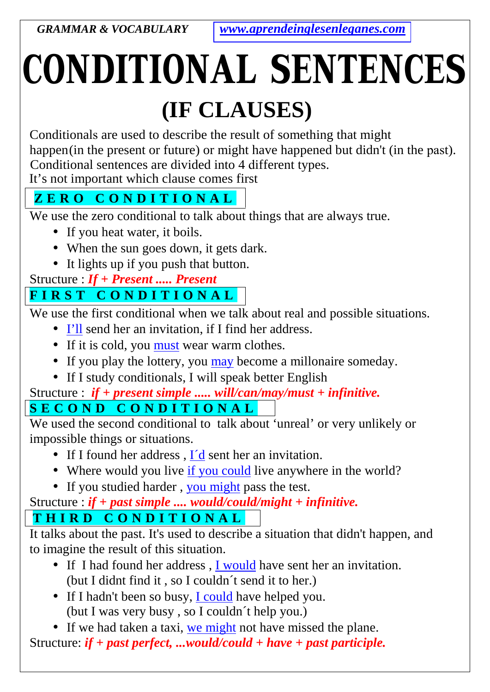*GRAMMAR & VOCABULARY [www.aprendeinglesenleganes.com](http://www.aprendeinglesenleganes.com/)*

# **(IF CLAUSES) CONDITIONAL SENTENCES**

**Z** Conditionals are used to describe the result of som-<br>
appen (in the present or future) or might have hap<br>
Z conditional sentences are divided into 4 different<br> **Z E R O C O N D I T I O N A L**<br>
We use the zero condition Conditionals are used to describe the result of something that might happen(in the present or future) or might have happened but didn't (in the past). Conditional sentences are divided into 4 different types.

It's not important which clause comes first

We use the zero conditional to talk about things that are always true.

- If you heat water, it boils.
- When the sun goes down, it gets dark.
- It lights up if you push that button.

## Structure : *If + Present ..... Present*

**F I R S T C O N D I T I O N A L**<br> **F I R S T C O N D I T I O N A L**<br> **E** use the first conditional when we talk about real and possible situations.

- I'll send her an invitation, if I find her address.
- If it is cold, you must wear warm clothes.
- If you play the lottery, you may become a millonaire someday.
- If I study conditional*s*, I will speak better English

## Structure : *if + present simple ..... will/can/may/must + infinitive.*

• I'll send her an invitation, if I find her address.<br>• If it is cold, you <u>must</u> wear warm clothes.<br>• If you play the lottery, you <u>may</u> become a millo<br>• If I study conditionals, I will speak better Englis<br>Structure : *if* We used the second conditional to talk about 'unreal' or very unlikely or impossible things or situations.

- If I found her address, I'd sent her an invitation.
- Where would you live if you could live anywhere in the world?
- If you studied harder, you might pass the test.

## Structure : *if + past simple .... would/could/might + infinitive.*

**The URBE SET CONDTT I ONCE THE SET AND THE SET ON DET SET AND THE REP SET ON D I T LONGE THAT R D C O N D I T LONGE THE SET AND THE R B SET AND THE R D C O N D I T LONGE THE SET AND THE R B SET AND THE R D C O N D I T LON** It talks about the past. It's used to describe a situation that didn't happen, and to imagine the result of this situation.

- If I had found her address, I would have sent her an invitation. (but I didnt find it , so I couldn´t send it to her.)
- If I hadn't been so busy, I could have helped you. (but I was very busy , so I couldn´t help you.)
- If we had taken a taxi, we might not have missed the plane.
- Structure: *if + past perfect, ...would/could + have + past participle.*